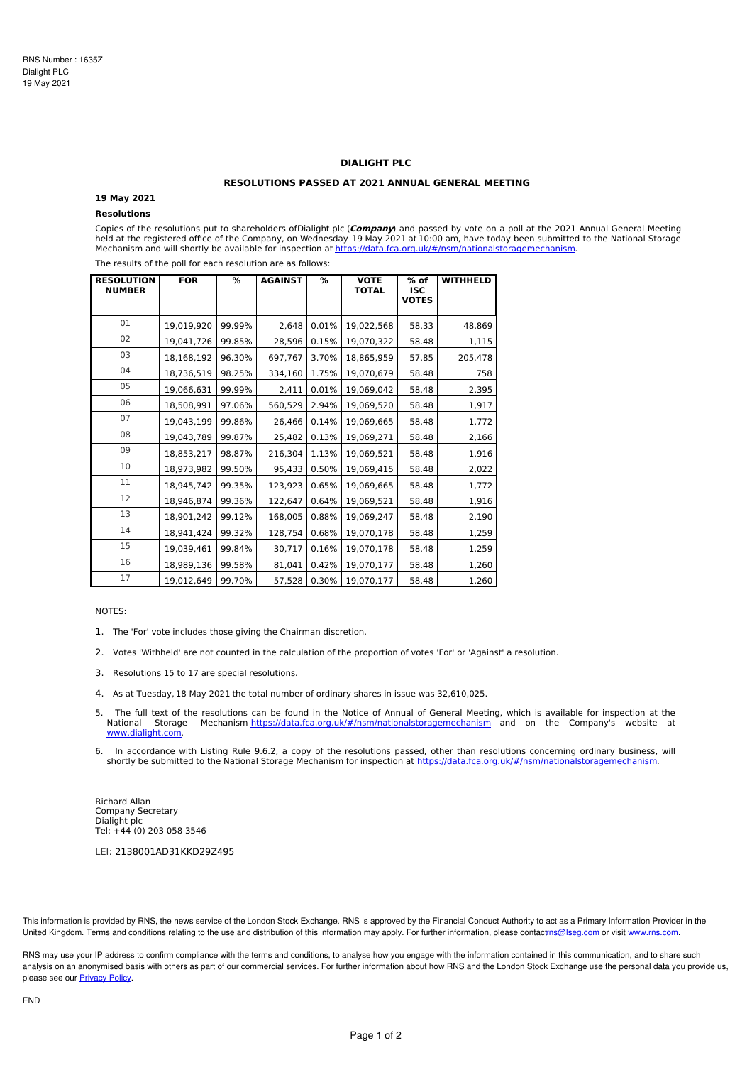### **DIALIGHT PLC**

# **RESOLUTIONS PASSED AT 2021 ANNUAL GENERAL MEETING**

### **19 May 2021**

# **Resolutions**

Copies of the resolutions put to shareholders ofDialight plc (**Company**) and passed by vote on a poll at the 2021 Annual General Meeting held at the registered office of the Company, on Wednesday 19 May 2021 at 10:00 am, have today been submitted to the National Storage<br>Mechanism and will shortly be available for inspection at <u>https://data.fca.org.uk/#/nsm</u>

| <b>RESOLUTION</b><br><b>NUMBER</b> | <b>FOR</b> | %      | <b>AGAINST</b> | %     | <b>VOTE</b><br><b>TOTAL</b> | $%$ of<br><b>ISC</b><br><b>VOTES</b> | <b>WITHHELD</b> |
|------------------------------------|------------|--------|----------------|-------|-----------------------------|--------------------------------------|-----------------|
| 01                                 | 19,019,920 | 99.99% | 2,648          | 0.01% | 19,022,568                  | 58.33                                | 48,869          |
| 02                                 | 19,041,726 | 99.85% | 28,596         | 0.15% | 19,070,322                  | 58.48                                | 1,115           |
| 03                                 | 18,168,192 | 96.30% | 697,767        | 3.70% | 18,865,959                  | 57.85                                | 205,478         |
| 04                                 | 18,736,519 | 98.25% | 334,160        | 1.75% | 19,070,679                  | 58.48                                | 758             |
| 05                                 | 19,066,631 | 99.99% | 2,411          | 0.01% | 19,069,042                  | 58.48                                | 2,395           |
| 06                                 | 18,508,991 | 97.06% | 560,529        | 2.94% | 19,069,520                  | 58.48                                | 1,917           |
| 07                                 | 19,043,199 | 99.86% | 26,466         | 0.14% | 19,069,665                  | 58.48                                | 1,772           |
| 08                                 | 19,043,789 | 99.87% | 25,482         | 0.13% | 19,069,271                  | 58.48                                | 2,166           |
| 09                                 | 18,853,217 | 98.87% | 216,304        | 1.13% | 19,069,521                  | 58.48                                | 1,916           |
| 10                                 | 18,973,982 | 99.50% | 95,433         | 0.50% | 19,069,415                  | 58.48                                | 2,022           |
| 11                                 | 18,945,742 | 99.35% | 123,923        | 0.65% | 19,069,665                  | 58.48                                | 1,772           |
| 12                                 | 18,946,874 | 99.36% | 122,647        | 0.64% | 19,069,521                  | 58.48                                | 1,916           |
| 13                                 | 18,901,242 | 99.12% | 168,005        | 0.88% | 19,069,247                  | 58.48                                | 2,190           |
| 14                                 | 18,941,424 | 99.32% | 128,754        | 0.68% | 19,070,178                  | 58.48                                | 1,259           |
| 15                                 | 19,039,461 | 99.84% | 30,717         | 0.16% | 19,070,178                  | 58.48                                | 1,259           |
| 16                                 | 18,989,136 | 99.58% | 81,041         | 0.42% | 19,070,177                  | 58.48                                | 1,260           |
| 17                                 | 19,012,649 | 99.70% | 57,528         | 0.30% | 19,070,177                  | 58.48                                | 1,260           |

The results of the poll for each resolution are as follows:

#### NOTES:

- 1. The 'For' vote includes those giving the Chairman discretion.
- 2. Votes 'Withheld' are not counted in the calculation of the proportion of votes 'For' or 'Against' a resolution.
- 3. Resolutions 15 to 17 are special resolutions.
- 4. As at Tuesday, 18 May 2021 the total number of ordinary shares in issue was 32,610,025.
- 5. The full text of the resolutions can be found in the Notice of Annual of General Meeting, which is available for inspection at the National Storage Mechanism <https://data.fca.org.uk/#/nsm/nationalstoragemechanism> and on the Company's website at [www.dialight.com](http://www.dialight.com).
- 6. In accordance with Listing Rule 9.6.2, a copy of the resolutions passed, other than resolutions concerning ordinary business, will shortly be submitted to the National Storage Mechanism for inspection at [https://data.fca.org.uk/#/nsm/nationalstoragemechanism.](https://data.fca.org.uk/#/nsm/nationalstoragemechanism)

Richard Allan Company Secretary Dialight plc Tel: +44 (0) 203 058 3546

LEI: 2138001AD31KKD29Z495

This information is provided by RNS, the news service of the London Stock Exchange. RNS is approved by the Financial Conduct Authority to act as a Primary Information Provider in the United Kingdom. Terms and conditions relating to the use and distribution of this information may apply. For further information, please contac[trns@lseg.com](mailto:rns@lseg.com) or visit [www.rns.com](http://www.rns.com/).

RNS may use your IP address to confirm compliance with the terms and conditions, to analyse how you engage with the information contained in this communication, and to share such analysis on an anonymised basis with others as part of our commercial services. For further information about how RNS and the London Stock Exchange use the personal data you provide us, please see our **[Privacy](https://www.lseg.com/privacy-and-cookie-policy) Policy**.